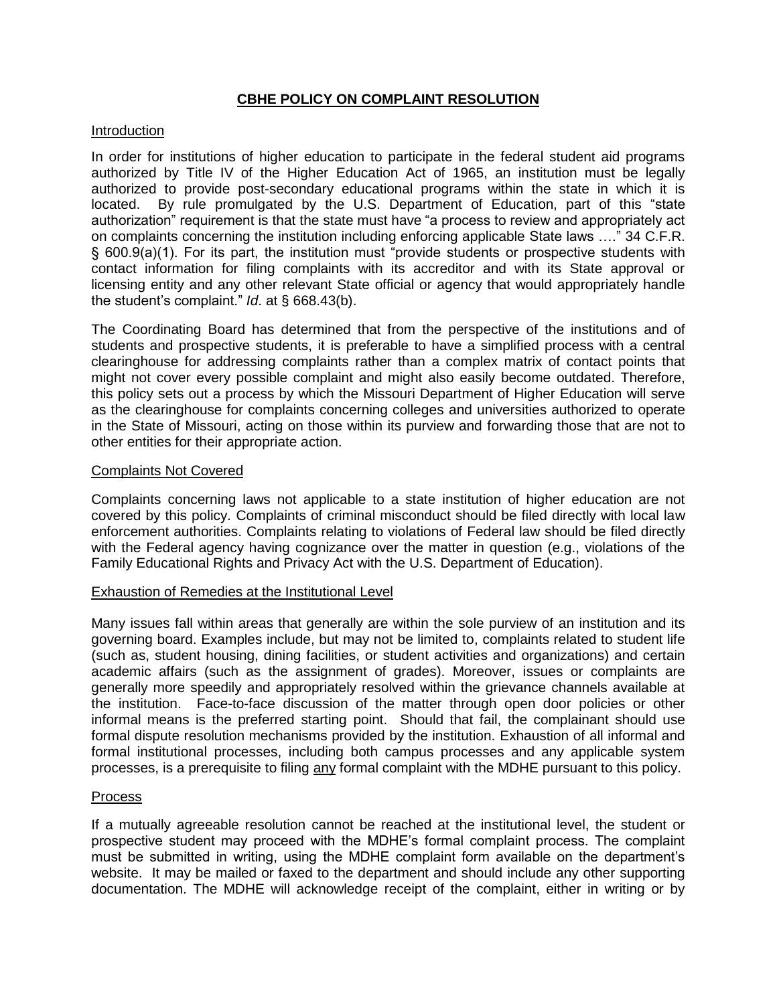# **CBHE POLICY ON COMPLAINT RESOLUTION**

## Introduction

In order for institutions of higher education to participate in the federal student aid programs authorized by Title IV of the Higher Education Act of 1965, an institution must be legally authorized to provide post-secondary educational programs within the state in which it is located. By rule promulgated by the U.S. Department of Education, part of this "state authorization" requirement is that the state must have "a process to review and appropriately act on complaints concerning the institution including enforcing applicable State laws …." 34 C.F.R. § 600.9(a)(1). For its part, the institution must "provide students or prospective students with contact information for filing complaints with its accreditor and with its State approval or licensing entity and any other relevant State official or agency that would appropriately handle the student's complaint." *Id*. at § 668.43(b).

The Coordinating Board has determined that from the perspective of the institutions and of students and prospective students, it is preferable to have a simplified process with a central clearinghouse for addressing complaints rather than a complex matrix of contact points that might not cover every possible complaint and might also easily become outdated. Therefore, this policy sets out a process by which the Missouri Department of Higher Education will serve as the clearinghouse for complaints concerning colleges and universities authorized to operate in the State of Missouri, acting on those within its purview and forwarding those that are not to other entities for their appropriate action.

## Complaints Not Covered

Complaints concerning laws not applicable to a state institution of higher education are not covered by this policy. Complaints of criminal misconduct should be filed directly with local law enforcement authorities. Complaints relating to violations of Federal law should be filed directly with the Federal agency having cognizance over the matter in question (e.g., violations of the Family Educational Rights and Privacy Act with the U.S. Department of Education).

#### Exhaustion of Remedies at the Institutional Level

Many issues fall within areas that generally are within the sole purview of an institution and its governing board. Examples include, but may not be limited to, complaints related to student life (such as, student housing, dining facilities, or student activities and organizations) and certain academic affairs (such as the assignment of grades). Moreover, issues or complaints are generally more speedily and appropriately resolved within the grievance channels available at the institution. Face-to-face discussion of the matter through open door policies or other informal means is the preferred starting point. Should that fail, the complainant should use formal dispute resolution mechanisms provided by the institution. Exhaustion of all informal and formal institutional processes, including both campus processes and any applicable system processes, is a prerequisite to filing any formal complaint with the MDHE pursuant to this policy.

#### Process

If a mutually agreeable resolution cannot be reached at the institutional level, the student or prospective student may proceed with the MDHE's formal complaint process. The complaint must be submitted in writing, using the MDHE complaint form available on the department's website. It may be mailed or faxed to the department and should include any other supporting documentation. The MDHE will acknowledge receipt of the complaint, either in writing or by